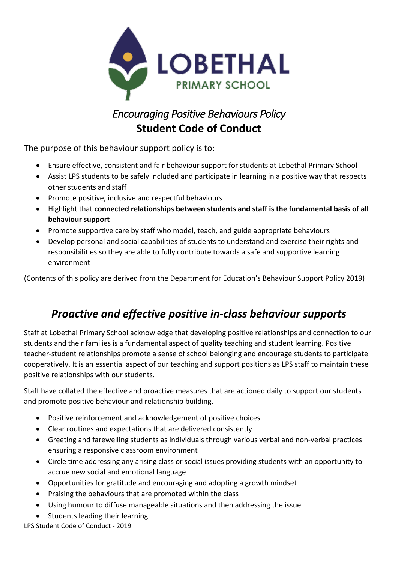

# *Encouraging Positive Behaviours Policy*  **Student Code of Conduct**

The purpose of this behaviour support policy is to:

- Ensure effective, consistent and fair behaviour support for students at Lobethal Primary School
- Assist LPS students to be safely included and participate in learning in a positive way that respects other students and staff
- Promote positive, inclusive and respectful behaviours
- Highlight that **connected relationships between students and staff is the fundamental basis of all behaviour support**
- Promote supportive care by staff who model, teach, and guide appropriate behaviours
- Develop personal and social capabilities of students to understand and exercise their rights and responsibilities so they are able to fully contribute towards a safe and supportive learning environment

(Contents of this policy are derived from the Department for Education's Behaviour Support Policy 2019)

## *Proactive and effective positive in-class behaviour supports*

Staff at Lobethal Primary School acknowledge that developing positive relationships and connection to our students and their families is a fundamental aspect of quality teaching and student learning. Positive teacher-student relationships promote a sense of school belonging and encourage students to participate cooperatively. It is an essential aspect of our teaching and support positions as LPS staff to maintain these positive relationships with our students.

Staff have collated the effective and proactive measures that are actioned daily to support our students and promote positive behaviour and relationship building.

- Positive reinforcement and acknowledgement of positive choices
- Clear routines and expectations that are delivered consistently
- Greeting and farewelling students as individuals through various verbal and non-verbal practices ensuring a responsive classroom environment
- Circle time addressing any arising class or social issues providing students with an opportunity to accrue new social and emotional language
- Opportunities for gratitude and encouraging and adopting a growth mindset
- Praising the behaviours that are promoted within the class
- Using humour to diffuse manageable situations and then addressing the issue
- Students leading their learning

LPS Student Code of Conduct - 2019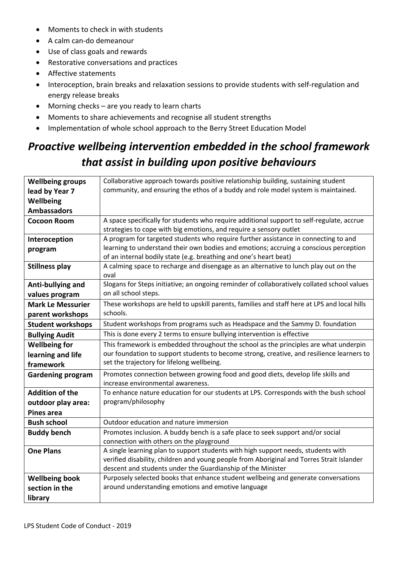- Moments to check in with students
- A calm can-do demeanour
- Use of class goals and rewards
- Restorative conversations and practices
- Affective statements
- Interoception, brain breaks and relaxation sessions to provide students with self-regulation and energy release breaks
- Morning checks are you ready to learn charts
- Moments to share achievements and recognise all student strengths
- Implementation of whole school approach to the Berry Street Education Model

# *Proactive wellbeing intervention embedded in the school framework that assist in building upon positive behaviours*

| <b>Wellbeing groups</b>  | Collaborative approach towards positive relationship building, sustaining student            |  |  |
|--------------------------|----------------------------------------------------------------------------------------------|--|--|
| lead by Year 7           | community, and ensuring the ethos of a buddy and role model system is maintained.            |  |  |
| Wellbeing                |                                                                                              |  |  |
| <b>Ambassadors</b>       |                                                                                              |  |  |
| <b>Cocoon Room</b>       | A space specifically for students who require additional support to self-regulate, accrue    |  |  |
|                          | strategies to cope with big emotions, and require a sensory outlet                           |  |  |
| Interoception            | A program for targeted students who require further assistance in connecting to and          |  |  |
| program                  | learning to understand their own bodies and emotions; accruing a conscious perception        |  |  |
|                          | of an internal bodily state (e.g. breathing and one's heart beat)                            |  |  |
| <b>Stillness play</b>    | A calming space to recharge and disengage as an alternative to lunch play out on the<br>oval |  |  |
| Anti-bullying and        | Slogans for Steps initiative; an ongoing reminder of collaboratively collated school values  |  |  |
| values program           | on all school steps.                                                                         |  |  |
| <b>Mark Le Messurier</b> | These workshops are held to upskill parents, families and staff here at LPS and local hills  |  |  |
| parent workshops         | schools.                                                                                     |  |  |
| <b>Student workshops</b> | Student workshops from programs such as Headspace and the Sammy D. foundation                |  |  |
| <b>Bullying Audit</b>    | This is done every 2 terms to ensure bullying intervention is effective                      |  |  |
| <b>Wellbeing for</b>     | This framework is embedded throughout the school as the principles are what underpin         |  |  |
| learning and life        | our foundation to support students to become strong, creative, and resilience learners to    |  |  |
| framework                | set the trajectory for lifelong wellbeing.                                                   |  |  |
| <b>Gardening program</b> | Promotes connection between growing food and good diets, develop life skills and             |  |  |
|                          | increase environmental awareness.                                                            |  |  |
| <b>Addition of the</b>   | To enhance nature education for our students at LPS. Corresponds with the bush school        |  |  |
| outdoor play area:       | program/philosophy                                                                           |  |  |
| <b>Pines area</b>        |                                                                                              |  |  |
| <b>Bush school</b>       | Outdoor education and nature immersion                                                       |  |  |
| <b>Buddy bench</b>       | Promotes inclusion. A buddy bench is a safe place to seek support and/or social              |  |  |
|                          | connection with others on the playground                                                     |  |  |
| <b>One Plans</b>         | A single learning plan to support students with high support needs, students with            |  |  |
|                          | verified disability, children and young people from Aboriginal and Torres Strait Islander    |  |  |
|                          | descent and students under the Guardianship of the Minister                                  |  |  |
| <b>Wellbeing book</b>    | Purposely selected books that enhance student wellbeing and generate conversations           |  |  |
| section in the           | around understanding emotions and emotive language                                           |  |  |
| library                  |                                                                                              |  |  |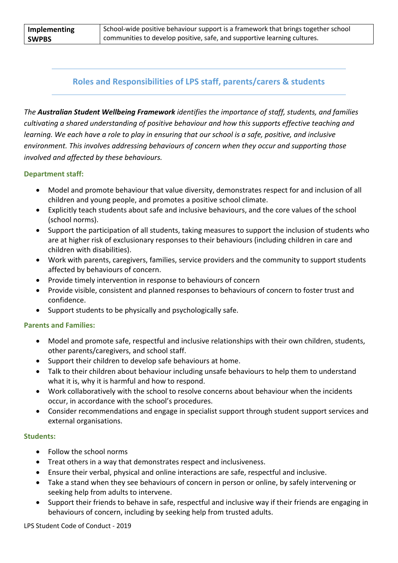| Implementing | School-wide positive behaviour support is a framework that brings together school |
|--------------|-----------------------------------------------------------------------------------|
| <b>SWPBS</b> | communities to develop positive, safe, and supportive learning cultures.          |

### **Roles and Responsibilities of LPS staff, parents/carers & students**

*The Australian Student Wellbeing Framework identifies the importance of staff, students, and families cultivating a shared understanding of positive behaviour and how this supports effective teaching and learning. We each have a role to play in ensuring that our school is a safe, positive, and inclusive environment. This involves addressing behaviours of concern when they occur and supporting those involved and affected by these behaviours.*

#### **Department staff:**

- Model and promote behaviour that value diversity, demonstrates respect for and inclusion of all children and young people, and promotes a positive school climate.
- Explicitly teach students about safe and inclusive behaviours, and the core values of the school (school norms).
- Support the participation of all students, taking measures to support the inclusion of students who are at higher risk of exclusionary responses to their behaviours (including children in care and children with disabilities).
- Work with parents, caregivers, families, service providers and the community to support students affected by behaviours of concern.
- Provide timely intervention in response to behaviours of concern
- Provide visible, consistent and planned responses to behaviours of concern to foster trust and confidence.
- Support students to be physically and psychologically safe.

#### **Parents and Families:**

- Model and promote safe, respectful and inclusive relationships with their own children, students, other parents/caregivers, and school staff.
- Support their children to develop safe behaviours at home.
- Talk to their children about behaviour including unsafe behaviours to help them to understand what it is, why it is harmful and how to respond.
- Work collaboratively with the school to resolve concerns about behaviour when the incidents occur, in accordance with the school's procedures.
- Consider recommendations and engage in specialist support through student support services and external organisations.

#### **Students:**

- Follow the school norms
- Treat others in a way that demonstrates respect and inclusiveness.
- Ensure their verbal, physical and online interactions are safe, respectful and inclusive.
- Take a stand when they see behaviours of concern in person or online, by safely intervening or seeking help from adults to intervene.
- Support their friends to behave in safe, respectful and inclusive way if their friends are engaging in behaviours of concern, including by seeking help from trusted adults.

LPS Student Code of Conduct - 2019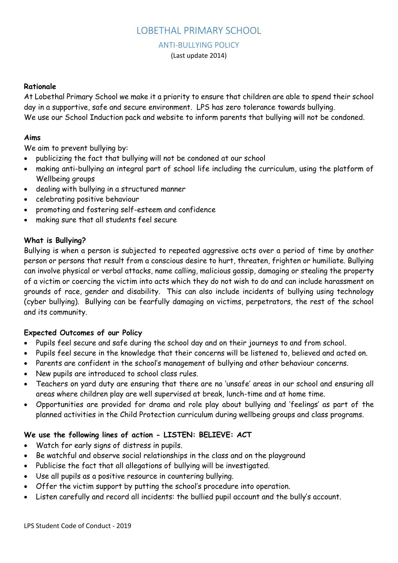## LOBETHAL PRIMARY SCHOOL

### ANTI-BULLYING POLICY

(Last update 2014)

#### **Rationale**

At Lobethal Primary School we make it a priority to ensure that children are able to spend their school day in a supportive, safe and secure environment. LPS has zero tolerance towards bullying. We use our School Induction pack and website to inform parents that bullying will not be condoned.

#### **Aims**

We aim to prevent bullying by:

- publicizing the fact that bullying will not be condoned at our school
- making anti-bullying an integral part of school life including the curriculum, using the platform of Wellbeing groups
- dealing with bullying in a structured manner
- celebrating positive behaviour
- promoting and fostering self-esteem and confidence
- making sure that all students feel secure

### **What is Bullying?**

Bullying is when a person is subjected to repeated aggressive acts over a period of time by another person or persons that result from a conscious desire to hurt, threaten, frighten or humiliate. Bullying can involve physical or verbal attacks, name calling, malicious gossip, damaging or stealing the property of a victim or coercing the victim into acts which they do not wish to do and can include harassment on grounds of race, gender and disability. This can also include incidents of bullying using technology (cyber bullying). Bullying can be fearfully damaging on victims, perpetrators, the rest of the school and its community.

#### **Expected Outcomes of our Policy**

- Pupils feel secure and safe during the school day and on their journeys to and from school.
- Pupils feel secure in the knowledge that their concerns will be listened to, believed and acted on.
- Parents are confident in the school's management of bullying and other behaviour concerns.
- New pupils are introduced to school class rules.
- Teachers on yard duty are ensuring that there are no 'unsafe' areas in our school and ensuring all areas where children play are well supervised at break, lunch-time and at home time.
- Opportunities are provided for drama and role play about bullying and 'feelings' as part of the planned activities in the Child Protection curriculum during wellbeing groups and class programs.

## **We use the following lines of action - LISTEN: BELIEVE: ACT**

- Watch for early signs of distress in pupils.
- Be watchful and observe social relationships in the class and on the playground
- Publicise the fact that all allegations of bullying will be investigated.
- Use all pupils as a positive resource in countering bullying.
- Offer the victim support by putting the school's procedure into operation.
- Listen carefully and record all incidents: the bullied pupil account and the bully's account.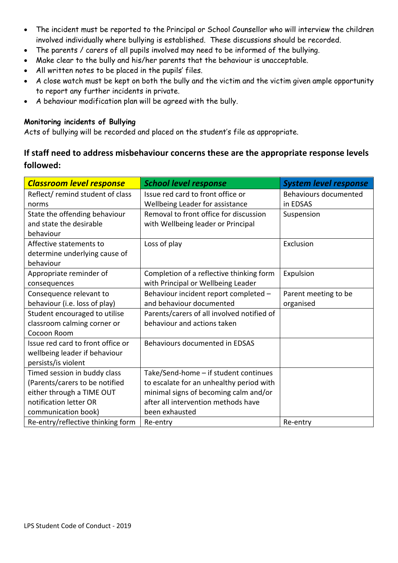- The incident must be reported to the Principal or School Counsellor who will interview the children involved individually where bullying is established. These discussions should be recorded.
- The parents / carers of all pupils involved may need to be informed of the bullying.
- Make clear to the bully and his/her parents that the behaviour is unacceptable.
- All written notes to be placed in the pupils' files.
- A close watch must be kept on both the bully and the victim and the victim given ample opportunity to report any further incidents in private.
- A behaviour modification plan will be agreed with the bully.

### **Monitoring incidents of Bullying**

Acts of bullying will be recorded and placed on the student's file as appropriate.

## **If staff need to address misbehaviour concerns these are the appropriate response levels followed:**

| <b>Classroom level response</b>   | <b>School level response</b>               | <b>System level response</b> |
|-----------------------------------|--------------------------------------------|------------------------------|
| Reflect/remind student of class   | Issue red card to front office or          | Behaviours documented        |
| norms                             | Wellbeing Leader for assistance            | in EDSAS                     |
| State the offending behaviour     | Removal to front office for discussion     | Suspension                   |
| and state the desirable           | with Wellbeing leader or Principal         |                              |
| behaviour                         |                                            |                              |
| Affective statements to           | Loss of play                               | Exclusion                    |
| determine underlying cause of     |                                            |                              |
| behaviour                         |                                            |                              |
| Appropriate reminder of           | Completion of a reflective thinking form   | Expulsion                    |
| consequences                      | with Principal or Wellbeing Leader         |                              |
| Consequence relevant to           | Behaviour incident report completed -      | Parent meeting to be         |
| behaviour (i.e. loss of play)     | and behaviour documented                   | organised                    |
| Student encouraged to utilise     | Parents/carers of all involved notified of |                              |
| classroom calming corner or       | behaviour and actions taken                |                              |
| Cocoon Room                       |                                            |                              |
| Issue red card to front office or | Behaviours documented in EDSAS             |                              |
| wellbeing leader if behaviour     |                                            |                              |
| persists/is violent               |                                            |                              |
| Timed session in buddy class      | Take/Send-home - if student continues      |                              |
| (Parents/carers to be notified    | to escalate for an unhealthy period with   |                              |
| either through a TIME OUT         | minimal signs of becoming calm and/or      |                              |
| notification letter OR            | after all intervention methods have        |                              |
| communication book)               | been exhausted                             |                              |
| Re-entry/reflective thinking form | Re-entry                                   | Re-entry                     |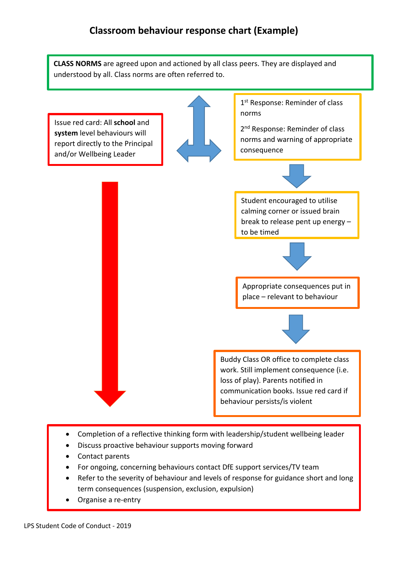**CLASS NORMS** are agreed upon and actioned by all class peers. They are displayed and understood by all. Class norms are often referred to.

Issue red card: All **school** and **system** level behaviours will report directly to the Principal and/or Wellbeing Leader

1<sup>st</sup> Response: Reminder of class norms

2<sup>nd</sup> Response: Reminder of class norms and warning of appropriate consequence

Student encouraged to utilise calming corner or issued brain break to release pent up energy – to be timed



Appropriate consequences put in place – relevant to behaviour



Buddy Class OR office to complete class work. Still implement consequence (i.e. loss of play). Parents notified in communication books. Issue red card if behaviour persists/is violent

- Completion of a reflective thinking form with leadership/student wellbeing leader
- Discuss proactive behaviour supports moving forward
- Contact parents
- For ongoing, concerning behaviours contact DfE support services/TV team
- Refer to the severity of behaviour and levels of response for guidance short and long term consequences (suspension, exclusion, expulsion)
- Organise a re-entry